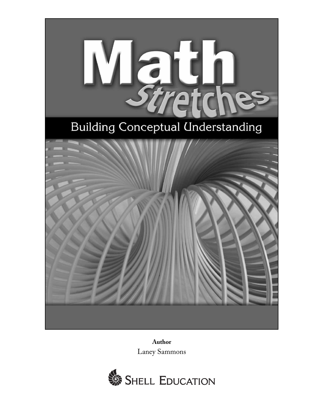

**Author** Laney Sammons

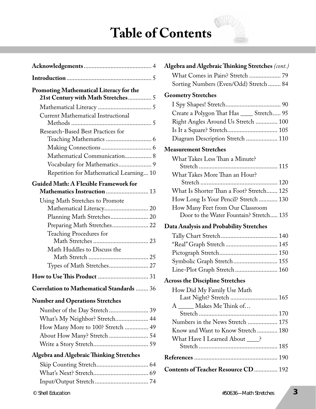### **Table of Contents**

| <b>Promoting Mathematical Literacy for the</b><br>21st Century with Math Stretches 5 |
|--------------------------------------------------------------------------------------|
|                                                                                      |
| <b>Current Mathematical Instructional</b>                                            |
| <b>Research-Based Best Practices for</b>                                             |
|                                                                                      |
| Mathematical Communication 8                                                         |
| Vocabulary for Mathematics 9                                                         |
| Repetition for Mathematical Learning 10                                              |
| <b>Guided Math: A Flexible Framework for</b><br>Mathematics Instruction  13          |
| Using Math Stretches to Promote                                                      |
| Planning Math Stretches 20                                                           |
| Preparing Math Stretches 22                                                          |
| <b>Teaching Procedures for</b>                                                       |
| Math Huddles to Discuss the                                                          |
|                                                                                      |
| Types of Math Stretches 27                                                           |
|                                                                                      |
| <b>Correlation to Mathematical Standards  36</b>                                     |
| <b>Number and Operations Stretches</b>                                               |
|                                                                                      |
| What's My Neighbor? Stretch 44                                                       |
| How Many More to 100? Stretch  49                                                    |
|                                                                                      |
|                                                                                      |
| <b>Algebra and Algebraic Thinking Stretches</b>                                      |
|                                                                                      |
|                                                                                      |

Input/Output Stretch .................................. 74

| What Comes in Pairs? Stretch  79          |
|-------------------------------------------|
| Sorting Numbers (Even/Odd) Stretch  84    |
| <b>Geometry Stretches</b>                 |
|                                           |
| Create a Polygon That Has ____ Stretch 95 |
| Right Angles Around Us Stretch  100       |
|                                           |
| Diagram Description Stretch  110          |
| <b>Measurement Stretches</b>              |
| What Takes Less Than a Minute?            |
|                                           |
| What Takes More Than an Hour?             |
|                                           |
| What Is Shorter Than a Foot? Stretch 125  |
| How Long Is Your Pencil? Stretch  130     |
| How Many Feet from Our Classroom          |
| Door to the Water Fountain? Stretch 135   |
| Data Analysis and Probability Stretches   |
|                                           |
| "Real" Graph Stretch  145                 |
|                                           |
| Symbolic Graph Stretch 155                |
| Line-Plot Graph Stretch 160               |
| <b>Across the Discipline Stretches</b>    |
| How Did My Family Use Math                |
| Last Night? Stretch  165                  |
| A _____ Makes Me Think of                 |
|                                           |
| Numbers in the News Stretch  175          |
| Know and Want to Know Stretch  180        |
| What Have I Learned About ____?           |
|                                           |
|                                           |
| Contents of Teacher Resource CD 192       |
|                                           |

Algebra and Algebraic Thinking Stretches (cont.)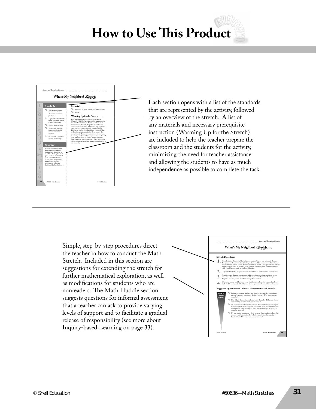### **How to Use This Product**



Each section opens with a list of the standards that are represented by the activity, followed by an overview of the stretch. A list of any materials and necessary prerequisite instruction (Warming Up for the Stretch) are included to help the teacher prepare the classroom and the students for the activity, minimizing the need for teacher assistance and allowing the students to have as much independence as possible to complete the task.

Simple, step-by-step procedures direct the teacher in how to conduct the Math Stretch. Included in this section are suggestions for extending the stretch for further mathematical exploration, as well as modifications for students who are nonreaders. The Math Huddle section suggests questions for informal assessment that a teacher can ask to provide varying levels of support and to facilitate a gradual release of responsibility (see more about Inquiry-based Learning on page 33).

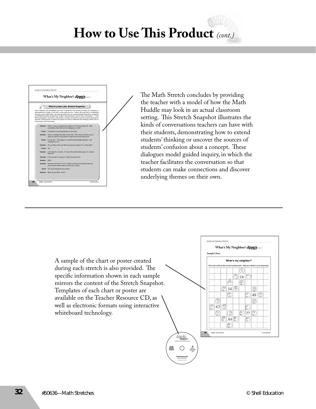# **How to Use This Product** (cont.)



The Math Stretch concludes by providing the teacher with a model of how the Math Huddle may look in an actual classroom setting. This Stretch Snapshot illustrates the kinds of conversations teachers can have with their students, demonstrating how to extend students' thinking or uncover the sources of students' confusion about a concept. These dialogues model guided inquiry, in which the teacher facilitates the conversation so that students can make connections and discover underlying themes on their own.

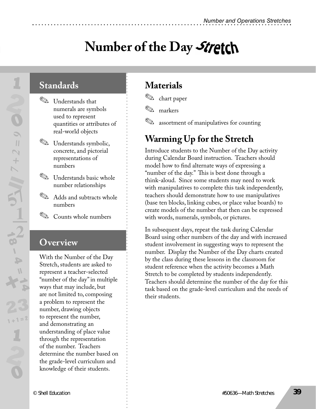# **Number of the Day**

### **Standards**

- ✎ Understands that numerals are symbols used to represent quantities or attributes of real-world objects
- ✎ Understands symbolic, concrete, and pictorial representations of numbers
- ✎ Understands basic whole number relationships
- ✎ Adds and subtracts whole numbers
- ✎ Counts whole numbers

#### **Overview**

With the Number of the Day Stretch, students are asked to represent a teacher-selected "number of the day" in multiple ways that may include, but are not limited to, composing a problem to represent the number, drawing objects to represent the number, and demonstrating an understanding of place value through the representation of the number. Teachers determine the number based on the grade-level curriculum and knowledge of their students.

### **Materials**

✎ chart paper

✎ markers

✎ assortment of manipulatives for counting

### **Warming Up for the Stretch**

Introduce students to the Number of the Day activity during Calendar Board instruction. Teachers should model how to find alternate ways of expressing a "number of the day." This is best done through a think-aloud. Since some students may need to work with manipulatives to complete this task independently, teachers should demonstrate how to use manipulatives (base ten blocks, linking cubes, or place value boards) to create models of the number that then can be expressed with words, numerals, symbols, or pictures.

In subsequent days, repeat the task during Calendar Board using other numbers of the day and with increased student involvement in suggesting ways to represent the number. Display the Number of the Day charts created by the class during these lessons in the classroom for student reference when the activity becomes a Math Stretch to be completed by students independently. Teachers should determine the number of the day for this task based on the grade-level curriculum and the needs of their students.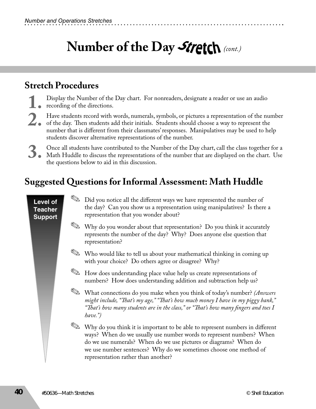#### **Stretch Procedures**

- Display the Number of the Day chart. For nonreaders, designate a reader or use an audio<br>recording of the directions.<br>Have students record with words, numerals, symbols, or pictures a representation of the number recording of the directions.
- 2. Have students record with words, numerals, symbols, or pictures a representation of the number<br>of the day. Then students add their initials. Students should choose a way to represent the<br>number that is different from th of the day. Then students add their initials. Students should choose a way to represent the number that is different from their classmates' responses. Manipulatives may be used to help students discover alternative representations of the number.
- S. Once all students have contributed to the Number of the Day chart, call the class together for a Math Huddle to discuss the representations of the number that are displayed on the chart. Use the questions below to aid i Math Huddle to discuss the representations of the number that are displayed on the chart. Use the questions below to aid in this discussion.

#### **Suggested Questions for Informal Assessment: Math Huddle**

#### **Level of Teacher Support** ✎ Did you notice all the diff erent ways we have represented the number of the day? Can you show us a representation using manipulatives? Is there a representation that you wonder about? ✎ Why do you wonder about that representation? Do you think it accurately represents the number of the day? Why? Does anyone else question that representation? ✎ Who would like to tell us about your mathematical thinking in coming up with your choice? Do others agree or disagree? Why? ✎ How does understanding place value help us create representations of numbers? How does understanding addition and subtraction help us? ✎ What connections do you make when you think of today's number? *(Answers might include, "Th at's my age," "Th at's how much money I have in my piggy bank," "Th at's how many students are in the class," or "Th at's how many fi ngers and toes I have.")* ✎ Why do you think it is important to be able to represent numbers in diff erent ways? When do we usually use number words to represent numbers? When do we use numerals? When do we use pictures or diagrams? When do we use number sentences? Why do we sometimes choose one method of representation rather than another?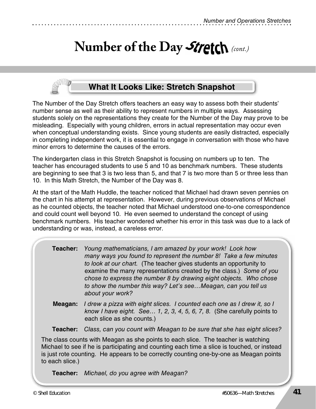#### **What It Looks Like: Stretch Snapshot**

The Number of the Day Stretch offers teachers an easy way to assess both their students' number sense as well as their ability to represent numbers in multiple ways. Assessing students solely on the representations they create for the Number of the Day may prove to be misleading. Especially with young children, errors in actual representation may occur even when conceptual understanding exists. Since young students are easily distracted, especially in completing independent work, it is essential to engage in conversation with those who have minor errors to determine the causes of the errors.

The kindergarten class in this Stretch Snapshot is focusing on numbers up to ten. The teacher has encouraged students to use 5 and 10 as benchmark numbers. These students are beginning to see that 3 is two less than 5, and that 7 is two more than 5 or three less than 10. In this Math Stretch, the Number of the Day was 8.

At the start of the Math Huddle, the teacher noticed that Michael had drawn seven pennies on the chart in his attempt at representation. However, during previous observations of Michael as he counted objects, the teacher noted that Michael understood one-to-one correspondence and could count well beyond 10. He even seemed to understand the concept of using benchmark numbers. His teacher wondered whether his error in this task was due to a lack of understanding or was, instead, a careless error.

| Teacher: Young mathematicians, I am amazed by your work! Look how   |
|---------------------------------------------------------------------|
| many ways you found to represent the number 8! Take a few minutes   |
| to look at our chart. (The teacher gives students an opportunity to |
| examine the many representations created by the class.) Some of you |
| chose to express the number 8 by drawing eight objects. Who chose   |
| to show the number this way? Let's seeMeagan, can you tell us       |
| about your work?                                                    |

 **Meagan:** I drew a pizza with eight slices. I counted each one as I drew it, so I know I have eight. See… 1, 2, 3, 4, 5, 6, 7, 8. (She carefully points to each slice as she counts.)

 **Teacher:** Class, can you count with Meagan to be sure that she has eight slices?

The class counts with Meagan as she points to each slice. The teacher is watching Michael to see if he is participating and counting each time a slice is touched, or instead is just rote counting. He appears to be correctly counting one-by-one as Meagan points to each slice.)

 **Teacher:** Michael, do you agree with Meagan?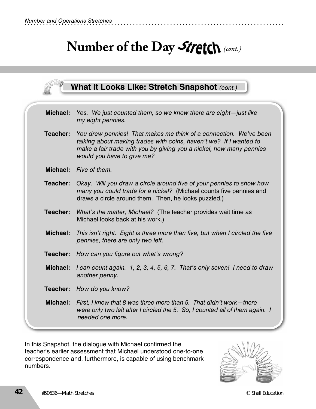| <b>What It Looks Like: Stretch Snapshot (cont.)</b> |                                                                                                                                                                                                                                              |  |
|-----------------------------------------------------|----------------------------------------------------------------------------------------------------------------------------------------------------------------------------------------------------------------------------------------------|--|
| Michael:                                            | Yes. We just counted them, so we know there are eight-just like<br>my eight pennies.                                                                                                                                                         |  |
| Teacher:                                            | You drew pennies! That makes me think of a connection. We've been<br>talking about making trades with coins, haven't we? If I wanted to<br>make a fair trade with you by giving you a nickel, how many pennies<br>would you have to give me? |  |
| Michael:                                            | Five of them.                                                                                                                                                                                                                                |  |
| Teacher:                                            | Okay. Will you draw a circle around five of your pennies to show how<br>many you could trade for a nickel? (Michael counts five pennies and<br>draws a circle around them. Then, he looks puzzled.)                                          |  |
| Teacher:                                            | What's the matter, Michael? (The teacher provides wait time as<br>Michael looks back at his work.)                                                                                                                                           |  |
| <b>Michael:</b>                                     | This isn't right. Eight is three more than five, but when I circled the five<br>pennies, there are only two left.                                                                                                                            |  |
| Teacher:                                            | How can you figure out what's wrong?                                                                                                                                                                                                         |  |
| Michael:                                            | I can count again. 1, 2, 3, 4, 5, 6, 7. That's only seven! I need to draw<br>another penny.                                                                                                                                                  |  |
| Teacher:                                            | How do you know?                                                                                                                                                                                                                             |  |
| Michael:                                            | First, I knew that 8 was three more than 5. That didn't work—there<br>were only two left after I circled the 5. So, I counted all of them again. I<br>needed one more.                                                                       |  |

In this Snapshot, the dialogue with Michael confirmed the teacher's earlier assessment that Michael understood one-to-one correspondence and, furthermore, is capable of using benchmark numbers.